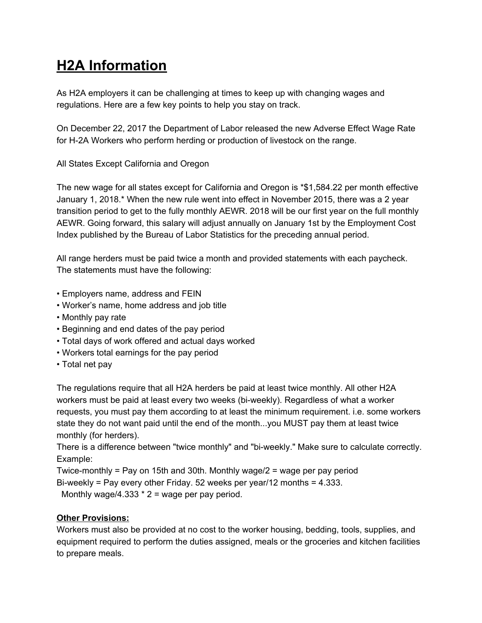# **H2A Information**

As H2A employers it can be challenging at times to keep up with changing wages and regulations. Here are a few key points to help you stay on track.

On December 22, 2017 the Department of Labor released the new Adverse Effect Wage Rate for H-2A Workers who perform herding or production of livestock on the range.

All States Except California and Oregon

The new wage for all states except for California and Oregon is \*\$1,584.22 per month effective January 1, 2018.\* When the new rule went into effect in November 2015, there was a 2 year transition period to get to the fully monthly AEWR. 2018 will be our first year on the full monthly AEWR. Going forward, this salary will adjust annually on January 1st by the Employment Cost Index published by the Bureau of Labor Statistics for the preceding annual period.

All range herders must be paid twice a month and provided statements with each paycheck. The statements must have the following:

- Employers name, address and FEIN
- Worker's name, home address and job title
- Monthly pay rate
- Beginning and end dates of the pay period
- Total days of work offered and actual days worked
- Workers total earnings for the pay period
- Total net pay

The regulations require that all H2A herders be paid at least twice monthly. All other H2A workers must be paid at least every two weeks (bi-weekly). Regardless of what a worker requests, you must pay them according to at least the minimum requirement. i.e. some workers state they do not want paid until the end of the month...you MUST pay them at least twice monthly (for herders).

There is a difference between "twice monthly" and "bi-weekly." Make sure to calculate correctly. Example:

Twice-monthly = Pay on 15th and 30th. Monthly wage/2 = wage per pay period Bi-weekly = Pay every other Friday. 52 weeks per year/12 months = 4.333. Monthly wage/4.333  $*$  2 = wage per pay period.

## **Other Provisions:**

Workers must also be provided at no cost to the worker housing, bedding, tools, supplies, and equipment required to perform the duties assigned, meals or the groceries and kitchen facilities to prepare meals.